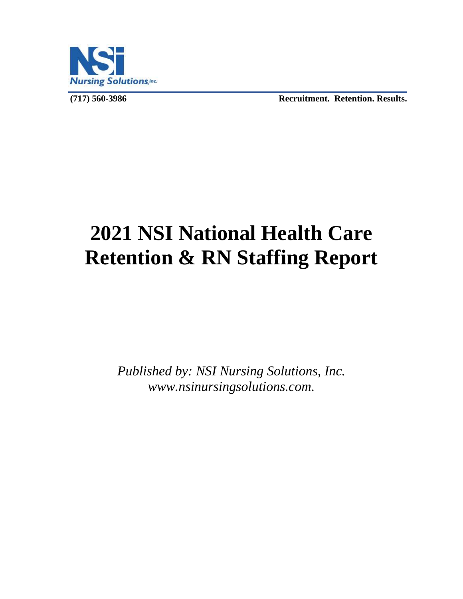

**(717) 560-3986 Recruitment. Retention. Results.** 

# **2021 NSI National Health Care Retention & RN Staffing Report**

*Published by: NSI Nursing Solutions, Inc. www.nsinursingsolutions.com.*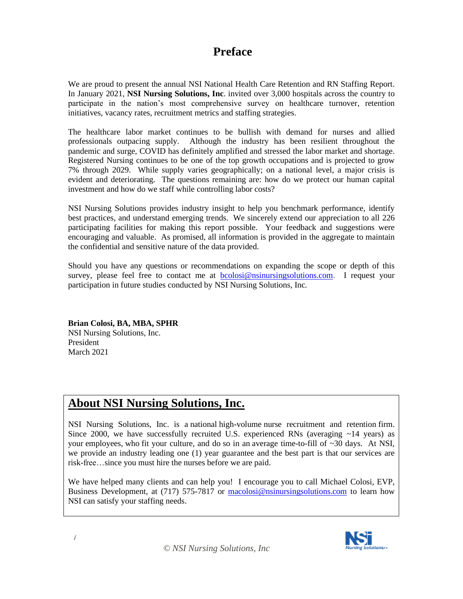# **Preface**

We are proud to present the annual NSI National Health Care Retention and RN Staffing Report. In January 2021, **NSI Nursing Solutions, Inc**. invited over 3,000 hospitals across the country to participate in the nation's most comprehensive survey on healthcare turnover, retention initiatives, vacancy rates, recruitment metrics and staffing strategies.

The healthcare labor market continues to be bullish with demand for nurses and allied professionals outpacing supply. Although the industry has been resilient throughout the pandemic and surge, COVID has definitely amplified and stressed the labor market and shortage. Registered Nursing continues to be one of the top growth occupations and is projected to grow 7% through 2029. While supply varies geographically; on a national level, a major crisis is evident and deteriorating. The questions remaining are: how do we protect our human capital investment and how do we staff while controlling labor costs?

NSI Nursing Solutions provides industry insight to help you benchmark performance, identify best practices, and understand emerging trends. We sincerely extend our appreciation to all 226 participating facilities for making this report possible. Your feedback and suggestions were encouraging and valuable. As promised, all information is provided in the aggregate to maintain the confidential and sensitive nature of the data provided.

Should you have any questions or recommendations on expanding the scope or depth of this survey, please feel free to contact me at [bcolosi@nsinursingsolutions.com.](mailto:bcolosi@nsinursingsolutions.com) I request your participation in future studies conducted by NSI Nursing Solutions, Inc*.*

**Brian Colosi, BA, MBA, SPHR** NSI Nursing Solutions, Inc. President March 2021

#### **[About NSI Nursing Solutions, Inc.](https://nsinursingsolutions.sharepoint.com/nsi/Operations/RetentionInstitute/Surveys/NationalHealthcareRetentionReport/http/www.nsinursingsolutions.com/administrators/admin-home.aspx)**

NSI Nursing Solutions, Inc. is a national high-volume nurse recruitment and retention firm. Since 2000, we have successfully recruited U.S. experienced RNs (averaging  $\sim$ 14 years) as your employees, who fit your culture, and do so in an average time-to-fill of  $\sim$ 30 days. At NSI, we provide an industry leading one (1) year guarantee and the best part is that our services are risk-free…since you must hire the nurses before we are paid.

We have helped many clients and can help you! I encourage you to call Michael Colosi, EVP, Business Development, at (717) 575-7817 or [macolosi@nsinursingsolutions.com](mailto:macolosi@nsinursingsolutions.com) to learn how NSI can satisfy your staffing needs.

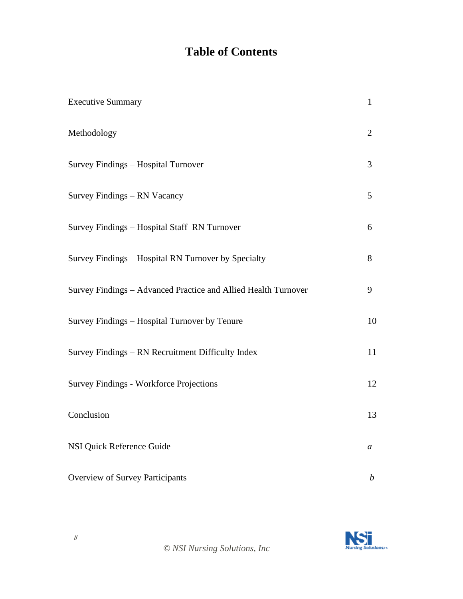# **Table of Contents**

| <b>Executive Summary</b>                                       | $\mathbf{1}$     |
|----------------------------------------------------------------|------------------|
| Methodology                                                    | $\overline{2}$   |
| Survey Findings - Hospital Turnover                            | 3                |
| Survey Findings - RN Vacancy                                   | 5                |
| Survey Findings - Hospital Staff RN Turnover                   | 6                |
| Survey Findings - Hospital RN Turnover by Specialty            | 8                |
| Survey Findings - Advanced Practice and Allied Health Turnover | 9                |
| Survey Findings – Hospital Turnover by Tenure                  | 10               |
| Survey Findings - RN Recruitment Difficulty Index              | 11               |
| <b>Survey Findings - Workforce Projections</b>                 | 12               |
| Conclusion                                                     | 13               |
| <b>NSI Quick Reference Guide</b>                               | a                |
| Overview of Survey Participants                                | $\boldsymbol{b}$ |

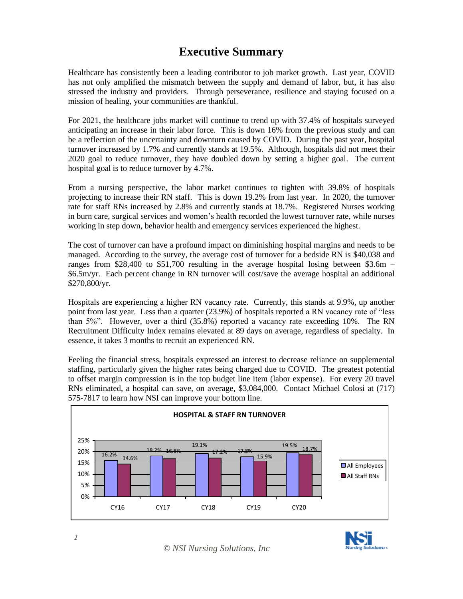#### **Executive Summary**

Healthcare has consistently been a leading contributor to job market growth. Last year, COVID has not only amplified the mismatch between the supply and demand of labor, but, it has also stressed the industry and providers. Through perseverance, resilience and staying focused on a mission of healing, your communities are thankful.

For 2021, the healthcare jobs market will continue to trend up with 37.4% of hospitals surveyed anticipating an increase in their labor force. This is down 16% from the previous study and can be a reflection of the uncertainty and downturn caused by COVID. During the past year, hospital turnover increased by 1.7% and currently stands at 19.5%. Although, hospitals did not meet their 2020 goal to reduce turnover, they have doubled down by setting a higher goal. The current hospital goal is to reduce turnover by 4.7%.

From a nursing perspective, the labor market continues to tighten with 39.8% of hospitals projecting to increase their RN staff. This is down 19.2% from last year. In 2020, the turnover rate for staff RNs increased by 2.8% and currently stands at 18.7%. Registered Nurses working in burn care, surgical services and women's health recorded the lowest turnover rate, while nurses working in step down, behavior health and emergency services experienced the highest.

The cost of turnover can have a profound impact on diminishing hospital margins and needs to be managed. According to the survey, the average cost of turnover for a bedside RN is \$40,038 and ranges from \$28,400 to \$51,700 resulting in the average hospital losing between  $$3.6m -$ \$6.5m/yr. Each percent change in RN turnover will cost/save the average hospital an additional \$270,800/yr.

Hospitals are experiencing a higher RN vacancy rate. Currently, this stands at 9.9%, up another point from last year. Less than a quarter (23.9%) of hospitals reported a RN vacancy rate of "less than 5%". However, over a third (35.8%) reported a vacancy rate exceeding 10%. The RN Recruitment Difficulty Index remains elevated at 89 days on average, regardless of specialty. In essence, it takes 3 months to recruit an experienced RN.

Feeling the financial stress, hospitals expressed an interest to decrease reliance on supplemental staffing, particularly given the higher rates being charged due to COVID. The greatest potential to offset margin compression is in the top budget line item (labor expense). For every 20 travel RNs eliminated, a hospital can save, on average, \$3,084,000. Contact Michael Colosi at (717) 575-7817 to learn how NSI can improve your bottom line.





1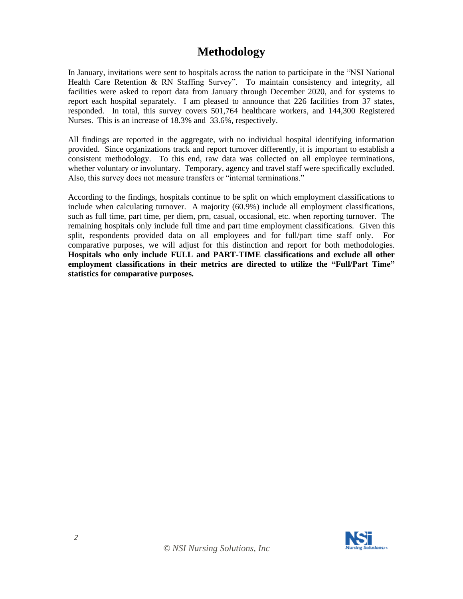#### **Methodology**

In January, invitations were sent to hospitals across the nation to participate in the "NSI National Health Care Retention & RN Staffing Survey". To maintain consistency and integrity, all facilities were asked to report data from January through December 2020, and for systems to report each hospital separately. I am pleased to announce that 226 facilities from 37 states, responded. In total, this survey covers 501,764 healthcare workers, and 144,300 Registered Nurses. This is an increase of 18.3% and 33.6%, respectively.

All findings are reported in the aggregate, with no individual hospital identifying information provided. Since organizations track and report turnover differently, it is important to establish a consistent methodology. To this end, raw data was collected on all employee terminations, whether voluntary or involuntary. Temporary, agency and travel staff were specifically excluded. Also, this survey does not measure transfers or "internal terminations."

According to the findings, hospitals continue to be split on which employment classifications to include when calculating turnover. A majority (60.9%) include all employment classifications, such as full time, part time, per diem, prn, casual, occasional, etc. when reporting turnover. The remaining hospitals only include full time and part time employment classifications. Given this split, respondents provided data on all employees and for full/part time staff only. comparative purposes, we will adjust for this distinction and report for both methodologies. **Hospitals who only include FULL and PART-TIME classifications and exclude all other employment classifications in their metrics are directed to utilize the "Full/Part Time" statistics for comparative purposes.**

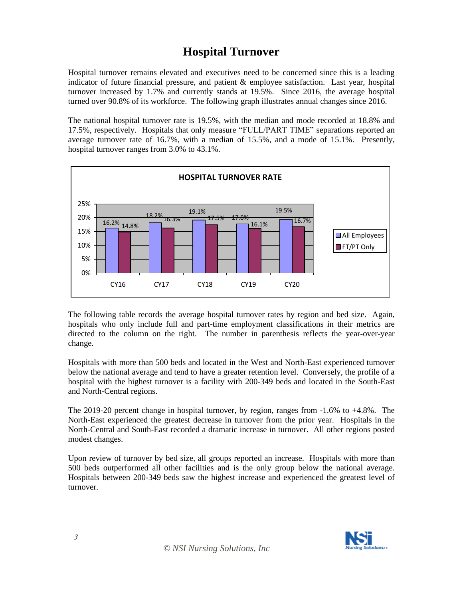#### **Hospital Turnover**

Hospital turnover remains elevated and executives need to be concerned since this is a leading indicator of future financial pressure, and patient & employee satisfaction. Last year, hospital turnover increased by 1.7% and currently stands at 19.5%. Since 2016, the average hospital turned over 90.8% of its workforce. The following graph illustrates annual changes since 2016.

The national hospital turnover rate is 19.5%, with the median and mode recorded at 18.8% and 17.5%, respectively. Hospitals that only measure "FULL/PART TIME" separations reported an average turnover rate of 16.7%, with a median of 15.5%, and a mode of 15.1%. Presently, hospital turnover ranges from 3.0% to 43.1%.



The following table records the average hospital turnover rates by region and bed size. Again, hospitals who only include full and part-time employment classifications in their metrics are directed to the column on the right. The number in parenthesis reflects the year-over-year change.

Hospitals with more than 500 beds and located in the West and North-East experienced turnover below the national average and tend to have a greater retention level. Conversely, the profile of a hospital with the highest turnover is a facility with 200-349 beds and located in the South-East and North-Central regions.

The 2019-20 percent change in hospital turnover, by region, ranges from -1.6% to +4.8%. The North-East experienced the greatest decrease in turnover from the prior year. Hospitals in the North-Central and South-East recorded a dramatic increase in turnover. All other regions posted modest changes.

Upon review of turnover by bed size, all groups reported an increase. Hospitals with more than 500 beds outperformed all other facilities and is the only group below the national average. Hospitals between 200-349 beds saw the highest increase and experienced the greatest level of turnover.

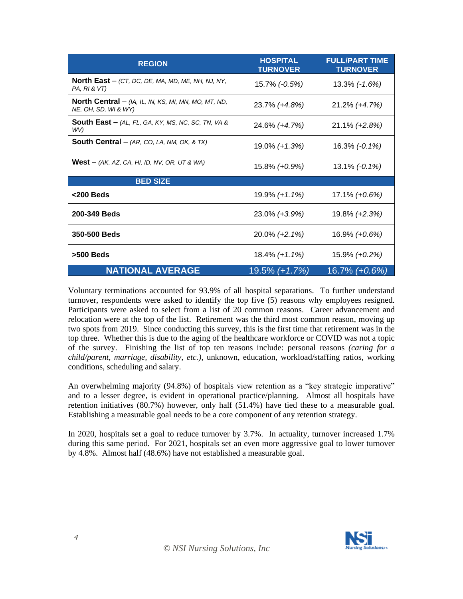| <b>REGION</b>                                                                             | <b>HOSPITAL</b><br><b>TURNOVER</b> | <b>FULL/PART TIME</b><br><b>TURNOVER</b> |
|-------------------------------------------------------------------------------------------|------------------------------------|------------------------------------------|
| <b>North East</b> $-$ (CT, DC, DE, MA, MD, ME, NH, NJ, NY,<br>PA, RI & VT)                | 15.7% (-0.5%)                      | 13.3% (-1.6%)                            |
| <b>North Central</b> $-$ (IA, IL, IN, KS, MI, MN, MO, MT, ND,<br>NE, OH, SD, WI & WY)     | 23.7% (+4.8%)                      | 21.2% (+4.7%)                            |
| <b>South East –</b> $AL$ , $FL$ , $GA$ , $KY$ , $MS$ , $NC$ , $SC$ , $TN$ , $VA$ &<br>WV) | 24.6% (+4.7%)                      | 21.1% (+2.8%)                            |
| South Central - (AR, CO, LA, NM, OK, & TX)                                                | 19.0% (+1.3%)                      | $16.3\%$ (-0.1%)                         |
| <b>West</b> $-$ (AK, AZ, CA, HI, ID, NV, OR, UT & WA)                                     | 15.8% (+0.9%)                      | $13.1\%$ (-0.1%)                         |
| <b>BED SIZE</b>                                                                           |                                    |                                          |
| <200 Beds                                                                                 | 19.9% (+1.1%)                      | 17.1% (+0.6%)                            |
| 200-349 Beds                                                                              | 23.0% (+3.9%)                      | 19.8% (+2.3%)                            |
| 350-500 Beds                                                                              | 20.0% (+2.1%)                      | 16.9% (+0.6%)                            |
| $>500$ Beds                                                                               | $18.4\% (+1.1\%)$                  | 15.9% (+0.2%)                            |
| <b>NATIONAL AVERAGE</b>                                                                   | 19.5% (+1.7%)                      | 16.7% (+0.6%)                            |

Voluntary terminations accounted for 93.9% of all hospital separations. To further understand turnover, respondents were asked to identify the top five (5) reasons why employees resigned. Participants were asked to select from a list of 20 common reasons. Career advancement and relocation were at the top of the list. Retirement was the third most common reason, moving up two spots from 2019. Since conducting this survey, this is the first time that retirement was in the top three. Whether this is due to the aging of the healthcare workforce or COVID was not a topic of the survey. Finishing the list of top ten reasons include: personal reasons *(caring for a child/parent, marriage, disability, etc.)*, unknown, education, workload/staffing ratios, working conditions, scheduling and salary.

An overwhelming majority (94.8%) of hospitals view retention as a "key strategic imperative" and to a lesser degree, is evident in operational practice/planning. Almost all hospitals have retention initiatives (80.7%) however, only half (51.4%) have tied these to a measurable goal. Establishing a measurable goal needs to be a core component of any retention strategy.

In 2020, hospitals set a goal to reduce turnover by 3.7%. In actuality, turnover increased 1.7% during this same period. For 2021, hospitals set an even more aggressive goal to lower turnover by 4.8%. Almost half (48.6%) have not established a measurable goal.

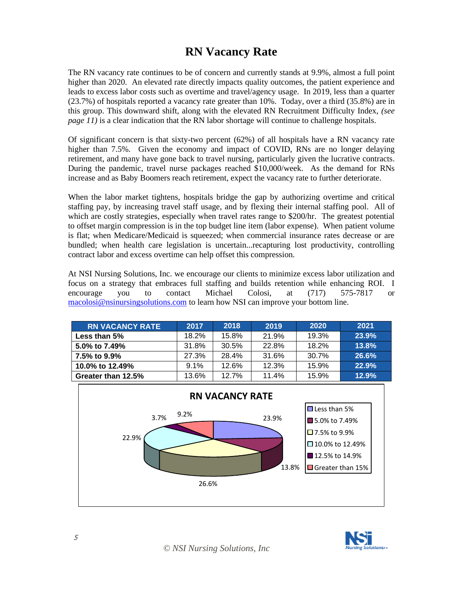#### **RN Vacancy Rate**

The RN vacancy rate continues to be of concern and currently stands at 9.9%, almost a full point higher than 2020. An elevated rate directly impacts quality outcomes, the patient experience and leads to excess labor costs such as overtime and travel/agency usage. In 2019, less than a quarter (23.7%) of hospitals reported a vacancy rate greater than 10%. Today, over a third (35.8%) are in this group. This downward shift, along with the elevated RN Recruitment Difficulty Index, *(see page 11*) is a clear indication that the RN labor shortage will continue to challenge hospitals.

Of significant concern is that sixty-two percent (62%) of all hospitals have a RN vacancy rate higher than 7.5%. Given the economy and impact of COVID, RNs are no longer delaying retirement, and many have gone back to travel nursing, particularly given the lucrative contracts. During the pandemic, travel nurse packages reached \$10,000/week. As the demand for RNs increase and as Baby Boomers reach retirement, expect the vacancy rate to further deteriorate.

When the labor market tightens, hospitals bridge the gap by authorizing overtime and critical staffing pay, by increasing travel staff usage, and by flexing their internal staffing pool. All of which are costly strategies, especially when travel rates range to \$200/hr. The greatest potential to offset margin compression is in the top budget line item (labor expense). When patient volume is flat; when Medicare/Medicaid is squeezed; when commercial insurance rates decrease or are bundled; when health care legislation is uncertain...recapturing lost productivity, controlling contract labor and excess overtime can help offset this compression.

At NSI Nursing Solutions, Inc. we encourage our clients to minimize excess labor utilization and focus on a strategy that embraces full staffing and builds retention while enhancing ROI. I encourage you to contact Michael Colosi, at (717) 575-7817 or [macolosi@nsinursingsolutions.com](mailto:macolosi@nsinursingsolutions.com) to learn how NSI can improve your bottom line.

| <b>RN VACANCY RATE</b> | 2017    | 2018  | 2019  | 2020  | 2021  |
|------------------------|---------|-------|-------|-------|-------|
| Less than 5%           | 18.2%   | 15.8% | 21.9% | 19.3% | 23.9% |
| 5.0% to 7.49%          | 31.8%   | 30.5% | 22.8% | 18.2% | 13.8% |
| 7.5% to 9.9%           | 27.3%   | 28.4% | 31.6% | 30.7% | 26.6% |
| 10.0% to 12.49%        | $9.1\%$ | 12.6% | 12.3% | 15.9% | 22.9% |
| Greater than 12.5%     | 13.6%   | 12.7% | 11.4% | 15.9% | 12.9% |



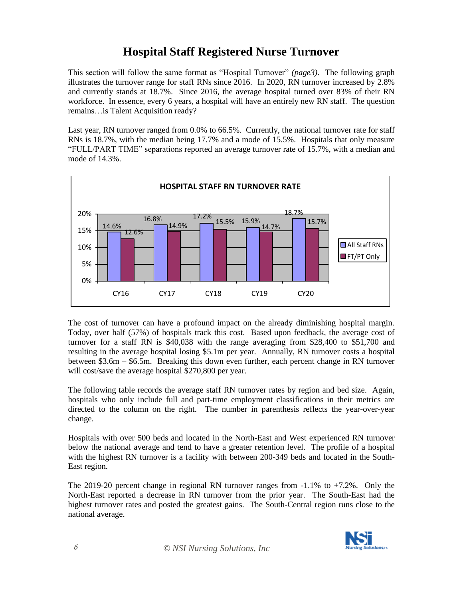#### **Hospital Staff Registered Nurse Turnover**

This section will follow the same format as "Hospital Turnover" *(page3).* The following graph illustrates the turnover range for staff RNs since 2016. In 2020, RN turnover increased by 2.8% and currently stands at 18.7%. Since 2016, the average hospital turned over 83% of their RN workforce. In essence, every 6 years, a hospital will have an entirely new RN staff. The question remains…is Talent Acquisition ready?

Last year, RN turnover ranged from 0.0% to 66.5%. Currently, the national turnover rate for staff RNs is 18.7%, with the median being 17.7% and a mode of 15.5%. Hospitals that only measure "FULL/PART TIME" separations reported an average turnover rate of 15.7%, with a median and mode of 14.3%.



The cost of turnover can have a profound impact on the already diminishing hospital margin. Today, over half (57%) of hospitals track this cost. Based upon feedback, the average cost of turnover for a staff RN is \$40,038 with the range averaging from \$28,400 to \$51,700 and resulting in the average hospital losing \$5.1m per year. Annually, RN turnover costs a hospital between \$3.6m – \$6.5m. Breaking this down even further, each percent change in RN turnover will cost/save the average hospital \$270,800 per year.

The following table records the average staff RN turnover rates by region and bed size. Again, hospitals who only include full and part-time employment classifications in their metrics are directed to the column on the right. The number in parenthesis reflects the year-over-year change.

Hospitals with over 500 beds and located in the North-East and West experienced RN turnover below the national average and tend to have a greater retention level. The profile of a hospital with the highest RN turnover is a facility with between 200-349 beds and located in the South-East region.

The 2019-20 percent change in regional RN turnover ranges from -1.1% to +7.2%. Only the North-East reported a decrease in RN turnover from the prior year. The South-East had the highest turnover rates and posted the greatest gains. The South-Central region runs close to the national average.

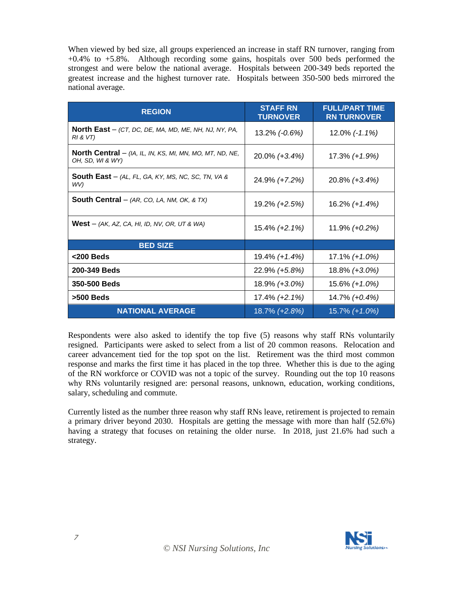When viewed by bed size, all groups experienced an increase in staff RN turnover, ranging from +0.4% to +5.8%. Although recording some gains, hospitals over 500 beds performed the strongest and were below the national average. Hospitals between 200-349 beds reported the greatest increase and the highest turnover rate. Hospitals between 350-500 beds mirrored the national average.

| <b>REGION</b>                                                                                 | <b>STAFF RN</b><br><b>TURNOVER</b> | <b>FULL/PART TIME</b><br><b>RN TURNOVER</b> |
|-----------------------------------------------------------------------------------------------|------------------------------------|---------------------------------------------|
| <b>North East</b> $-$ (CT, DC, DE, MA, MD, ME, NH, NJ, NY, PA,<br>RI & VI                     | 13.2% (-0.6%)                      | 12.0% (-1.1%)                               |
| <b>North Central</b> $-$ ( <i>IA, IL, IN, KS, MI, MN, MO, MT, ND, NE,</i><br>OH, SD, WI & WY) | 20.0% (+3.4%)                      | 17.3% (+1.9%)                               |
| <b>South East</b> $-$ (AL, FL, GA, KY, MS, NC, SC, TN, VA &<br>WV)                            | 24.9% (+7.2%)                      | $20.8\%$ (+3.4%)                            |
| South Central - (AR, CO, LA, NM, OK, & TX)                                                    | 19.2% (+2.5%)                      | $16.2\% (+1.4\%)$                           |
| <b>West</b> $-$ (AK, AZ, CA, HI, ID, NV, OR, UT & WA)                                         | 15.4% (+2.1%)                      | $11.9\% (+0.2\%)$                           |
| <b>BED SIZE</b>                                                                               |                                    |                                             |
| $<$ 200 Beds                                                                                  | 19.4% (+1.4%)                      | $17.1\% + 1.0\%$                            |
| 200-349 Beds                                                                                  | 22.9% (+5.8%)                      | 18.8% (+3.0%)                               |
| 350-500 Beds                                                                                  | 18.9% (+3.0%)                      | 15.6% (+1.0%)                               |
| $>500$ Beds                                                                                   | 17.4% (+2.1%)                      | 14.7% (+0.4%)                               |
| <b>NATIONAL AVERAGE</b>                                                                       | 18.7% (+2.8%)                      | 15.7% (+1.0%)                               |

Respondents were also asked to identify the top five (5) reasons why staff RNs voluntarily resigned. Participants were asked to select from a list of 20 common reasons. Relocation and career advancement tied for the top spot on the list. Retirement was the third most common response and marks the first time it has placed in the top three. Whether this is due to the aging of the RN workforce or COVID was not a topic of the survey. Rounding out the top 10 reasons why RNs voluntarily resigned are: personal reasons, unknown, education, working conditions, salary, scheduling and commute.

Currently listed as the number three reason why staff RNs leave, retirement is projected to remain a primary driver beyond 2030. Hospitals are getting the message with more than half (52.6%) having a strategy that focuses on retaining the older nurse. In 2018, just 21.6% had such a strategy.

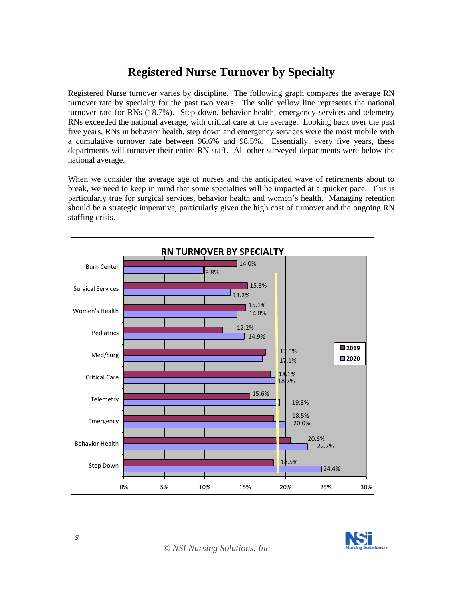# **Registered Nurse Turnover by Specialty**

Registered Nurse turnover varies by discipline. The following graph compares the average RN turnover rate by specialty for the past two years. The solid yellow line represents the national turnover rate for RNs (18.7%). Step down, behavior health, emergency services and telemetry RNs exceeded the national average, with critical care at the average. Looking back over the past five years, RNs in behavior health, step down and emergency services were the most mobile with a cumulative turnover rate between 96.6% and 98.5%. Essentially, every five years, these departments will turnover their entire RN staff. All other surveyed departments were below the national average.

When we consider the average age of nurses and the anticipated wave of retirements about to break, we need to keep in mind that some specialties will be impacted at a quicker pace. This is particularly true for surgical services, behavior health and women's health. Managing retention should be a strategic imperative, particularly given the high cost of turnover and the ongoing RN staffing crisis.



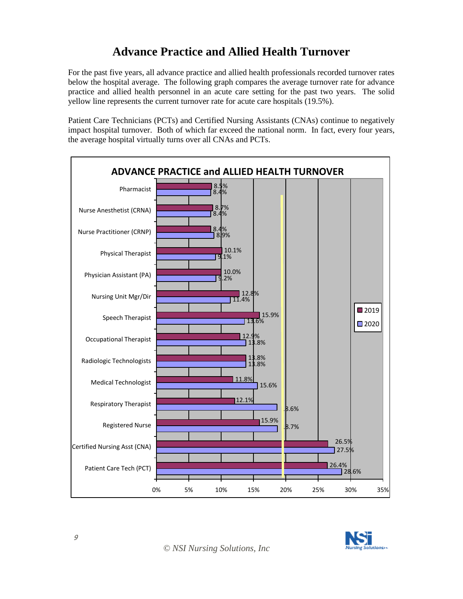# **Advance Practice and Allied Health Turnover**

For the past five years, all advance practice and allied health professionals recorded turnover rates below the hospital average. The following graph compares the average turnover rate for advance practice and allied health personnel in an acute care setting for the past two years. The solid yellow line represents the current turnover rate for acute care hospitals (19.5%).

Patient Care Technicians (PCTs) and Certified Nursing Assistants (CNAs) continue to negatively impact hospital turnover. Both of which far exceed the national norm. In fact, every four years, the average hospital virtually turns over all CNAs and PCTs.



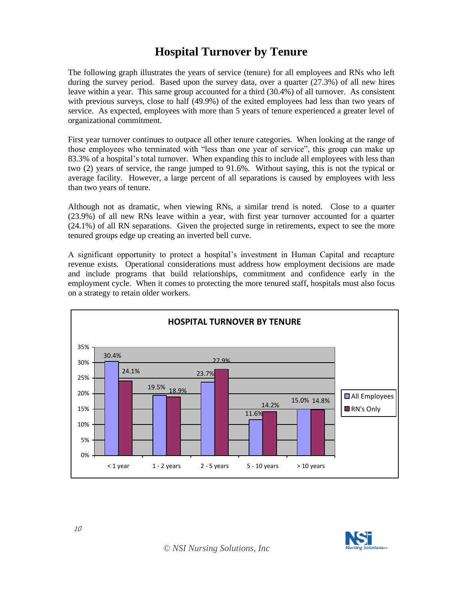#### **Hospital Turnover by Tenure**

The following graph illustrates the years of service (tenure) for all employees and RNs who left during the survey period. Based upon the survey data, over a quarter (27.3%) of all new hires leave within a year. This same group accounted for a third (30.4%) of all turnover. As consistent with previous surveys, close to half (49.9%) of the exited employees had less than two years of service. As expected, employees with more than 5 years of tenure experienced a greater level of organizational commitment.

First year turnover continues to outpace all other tenure categories. When looking at the range of those employees who terminated with "less than one year of service", this group can make up 83.3% of a hospital's total turnover. When expanding this to include all employees with less than two (2) years of service, the range jumped to 91.6%. Without saying, this is not the typical or average facility. However, a large percent of all separations is caused by employees with less than two years of tenure.

Although not as dramatic, when viewing RNs, a similar trend is noted. Close to a quarter (23.9%) of all new RNs leave within a year, with first year turnover accounted for a quarter (24.1%) of all RN separations. Given the projected surge in retirements, expect to see the more tenured groups edge up creating an inverted bell curve.

A significant opportunity to protect a hospital's investment in Human Capital and recapture revenue exists. Operational considerations must address how employment decisions are made and include programs that build relationships, commitment and confidence early in the employment cycle. When it comes to protecting the more tenured staff, hospitals must also focus on a strategy to retain older workers.



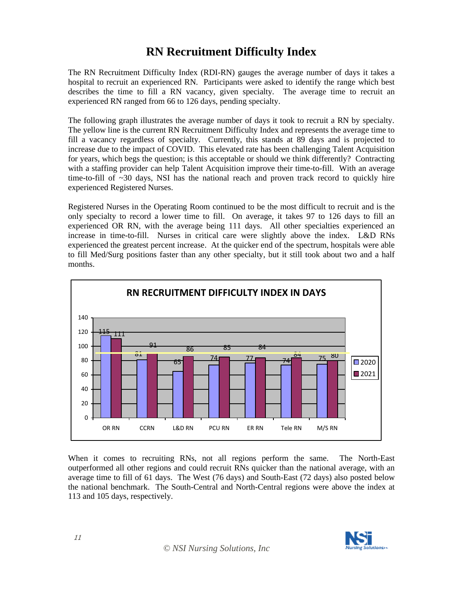#### **RN Recruitment Difficulty Index**

The RN Recruitment Difficulty Index (RDI-RN) gauges the average number of days it takes a hospital to recruit an experienced RN. Participants were asked to identify the range which best describes the time to fill a RN vacancy, given specialty. The average time to recruit an experienced RN ranged from 66 to 126 days, pending specialty.

The following graph illustrates the average number of days it took to recruit a RN by specialty. The yellow line is the current RN Recruitment Difficulty Index and represents the average time to fill a vacancy regardless of specialty. Currently, this stands at 89 days and is projected to increase due to the impact of COVID. This elevated rate has been challenging Talent Acquisition for years, which begs the question; is this acceptable or should we think differently? Contracting with a staffing provider can help Talent Acquisition improve their time-to-fill. With an average time-to-fill of  $\sim$ 30 days, NSI has the national reach and proven track record to quickly hire experienced Registered Nurses.

Registered Nurses in the Operating Room continued to be the most difficult to recruit and is the only specialty to record a lower time to fill. On average, it takes 97 to 126 days to fill an experienced OR RN, with the average being 111 days. All other specialties experienced an increase in time-to-fill. Nurses in critical care were slightly above the index. L&D RNs experienced the greatest percent increase. At the quicker end of the spectrum, hospitals were able to fill Med/Surg positions faster than any other specialty, but it still took about two and a half months.



When it comes to recruiting RNs, not all regions perform the same. The North-East outperformed all other regions and could recruit RNs quicker than the national average, with an average time to fill of 61 days. The West (76 days) and South-East (72 days) also posted below the national benchmark. The South-Central and North-Central regions were above the index at 113 and 105 days, respectively.

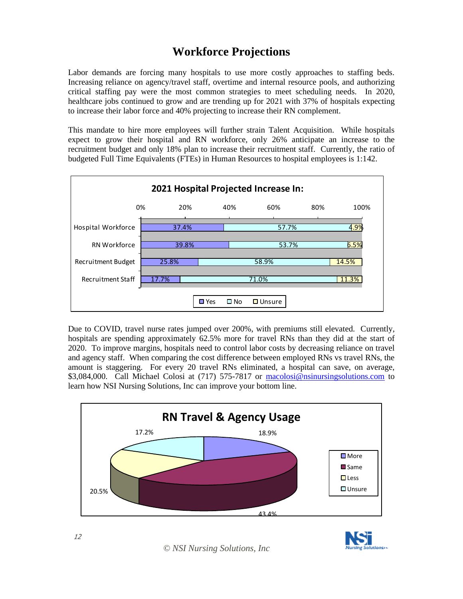# **Workforce Projections**

Labor demands are forcing many hospitals to use more costly approaches to staffing beds. Increasing reliance on agency/travel staff, overtime and internal resource pools, and authorizing critical staffing pay were the most common strategies to meet scheduling needs. In 2020, healthcare jobs continued to grow and are trending up for 2021 with 37% of hospitals expecting to increase their labor force and 40% projecting to increase their RN complement.

This mandate to hire more employees will further strain Talent Acquisition. While hospitals expect to grow their hospital and RN workforce, only 26% anticipate an increase to the recruitment budget and only 18% plan to increase their recruitment staff. Currently, the ratio of budgeted Full Time Equivalents (FTEs) in Human Resources to hospital employees is 1:142.



Due to COVID, travel nurse rates jumped over 200%, with premiums still elevated. Currently, hospitals are spending approximately 62.5% more for travel RNs than they did at the start of 2020. To improve margins, hospitals need to control labor costs by decreasing reliance on travel and agency staff. When comparing the cost difference between employed RNs vs travel RNs, the amount is staggering. For every 20 travel RNs eliminated, a hospital can save, on average, \$3,084,000. Call Michael Colosi at (717) 575-7817 or [macolosi@nsinursingsolutions.com](mailto:macolosi@nsinursingsolutions.com) to learn how NSI Nursing Solutions, Inc can improve your bottom line.



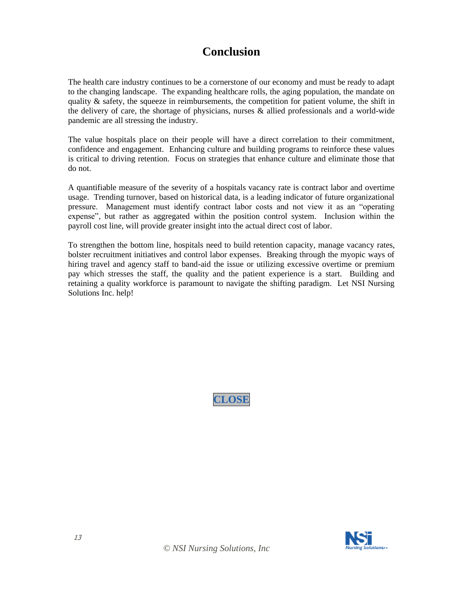#### **Conclusion**

The health care industry continues to be a cornerstone of our economy and must be ready to adapt to the changing landscape. The expanding healthcare rolls, the aging population, the mandate on quality  $\&$  safety, the squeeze in reimbursements, the competition for patient volume, the shift in the delivery of care, the shortage of physicians, nurses & allied professionals and a world-wide pandemic are all stressing the industry.

The value hospitals place on their people will have a direct correlation to their commitment, confidence and engagement. Enhancing culture and building programs to reinforce these values is critical to driving retention. Focus on strategies that enhance culture and eliminate those that do not.

A quantifiable measure of the severity of a hospitals vacancy rate is contract labor and overtime usage. Trending turnover, based on historical data, is a leading indicator of future organizational pressure. Management must identify contract labor costs and not view it as an "operating expense", but rather as aggregated within the position control system. Inclusion within the payroll cost line, will provide greater insight into the actual direct cost of labor.

To strengthen the bottom line, hospitals need to build retention capacity, manage vacancy rates, bolster recruitment initiatives and control labor expenses. Breaking through the myopic ways of hiring travel and agency staff to band-aid the issue or utilizing excessive overtime or premium pay which stresses the staff, the quality and the patient experience is a start. Building and retaining a quality workforce is paramount to navigate the shifting paradigm. Let NSI Nursing Solutions Inc. help!



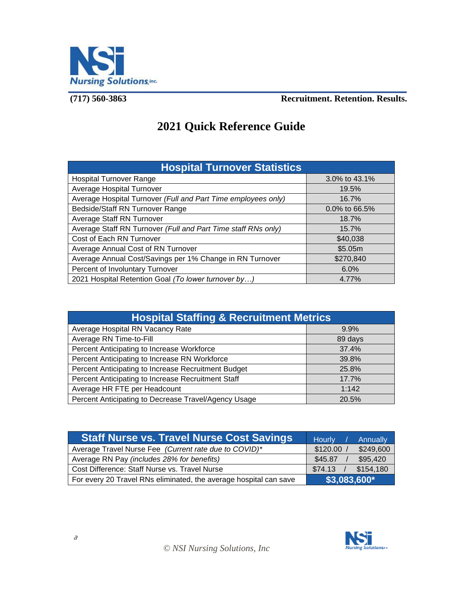

#### **(717) 560-3863 Recruitment. Retention. Results.**

# **2021 Quick Reference Guide**

| <b>Hospital Turnover Statistics</b>                           |                  |  |
|---------------------------------------------------------------|------------------|--|
| <b>Hospital Turnover Range</b>                                | 3.0% to 43.1%    |  |
| Average Hospital Turnover                                     | 19.5%            |  |
| Average Hospital Turnover (Full and Part Time employees only) | 16.7%            |  |
| Bedside/Staff RN Turnover Range                               | $0.0\%$ to 66.5% |  |
| Average Staff RN Turnover                                     | 18.7%            |  |
| Average Staff RN Turnover (Full and Part Time staff RNs only) | 15.7%            |  |
| Cost of Each RN Turnover                                      | \$40,038         |  |
| Average Annual Cost of RN Turnover                            | \$5.05m          |  |
| Average Annual Cost/Savings per 1% Change in RN Turnover      | \$270,840        |  |
| Percent of Involuntary Turnover                               | $6.0\%$          |  |
| 2021 Hospital Retention Goal (To lower turnover by)           | 4.77%            |  |

| <b>Hospital Staffing &amp; Recruitment Metrics</b>   |         |  |
|------------------------------------------------------|---------|--|
| Average Hospital RN Vacancy Rate                     | 9.9%    |  |
| Average RN Time-to-Fill                              | 89 days |  |
| Percent Anticipating to Increase Workforce           | 37.4%   |  |
| Percent Anticipating to Increase RN Workforce        | 39.8%   |  |
| Percent Anticipating to Increase Recruitment Budget  | 25.8%   |  |
| Percent Anticipating to Increase Recruitment Staff   | 17.7%   |  |
| Average HR FTE per Headcount                         | 1:142   |  |
| Percent Anticipating to Decrease Travel/Agency Usage | 20.5%   |  |

| <b>Staff Nurse vs. Travel Nurse Cost Savings</b>                  | <b>Hourly</b><br>Annually |
|-------------------------------------------------------------------|---------------------------|
| Average Travel Nurse Fee (Current rate due to COVID)*             | \$120.00<br>\$249,600     |
| Average RN Pay (includes 28% for benefits)                        | \$95,420<br>\$45.87       |
| Cost Difference: Staff Nurse vs. Travel Nurse                     | \$154.180<br>\$74.13      |
| For every 20 Travel RNs eliminated, the average hospital can save | \$3,083,600*              |